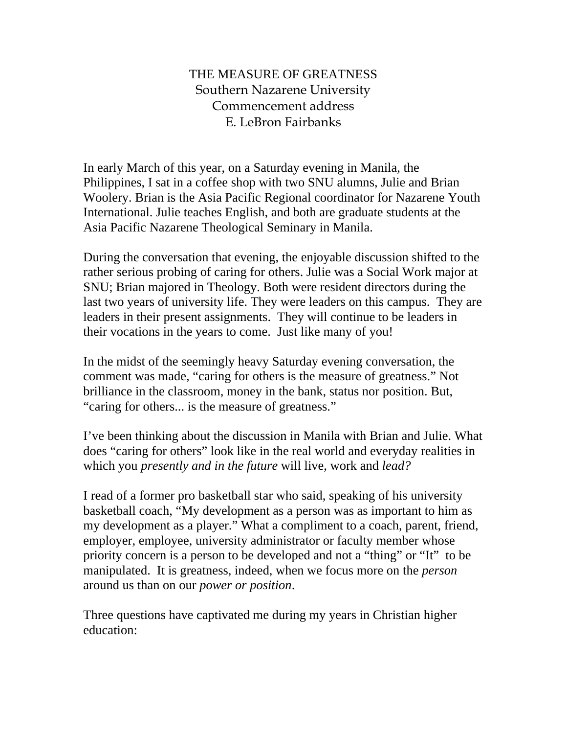# THE MEASURE OF GREATNESS Southern Nazarene University Commencement address E. LeBron Fairbanks

In early March of this year, on a Saturday evening in Manila, the Philippines, I sat in a coffee shop with two SNU alumns, Julie and Brian Woolery. Brian is the Asia Pacific Regional coordinator for Nazarene Youth International. Julie teaches English, and both are graduate students at the Asia Pacific Nazarene Theological Seminary in Manila.

During the conversation that evening, the enjoyable discussion shifted to the rather serious probing of caring for others. Julie was a Social Work major at SNU; Brian majored in Theology. Both were resident directors during the last two years of university life. They were leaders on this campus. They are leaders in their present assignments. They will continue to be leaders in their vocations in the years to come. Just like many of you!

In the midst of the seemingly heavy Saturday evening conversation, the comment was made, "caring for others is the measure of greatness." Not brilliance in the classroom, money in the bank, status nor position. But, "caring for others... is the measure of greatness."

I've been thinking about the discussion in Manila with Brian and Julie. What does "caring for others" look like in the real world and everyday realities in which you *presently and in the future* will live, work and *lead?* 

I read of a former pro basketball star who said, speaking of his university basketball coach, "My development as a person was as important to him as my development as a player." What a compliment to a coach, parent, friend, employer, employee, university administrator or faculty member whose priority concern is a person to be developed and not a "thing" or "It" to be manipulated. It is greatness, indeed, when we focus more on the *person* around us than on our *power or position*.

Three questions have captivated me during my years in Christian higher education: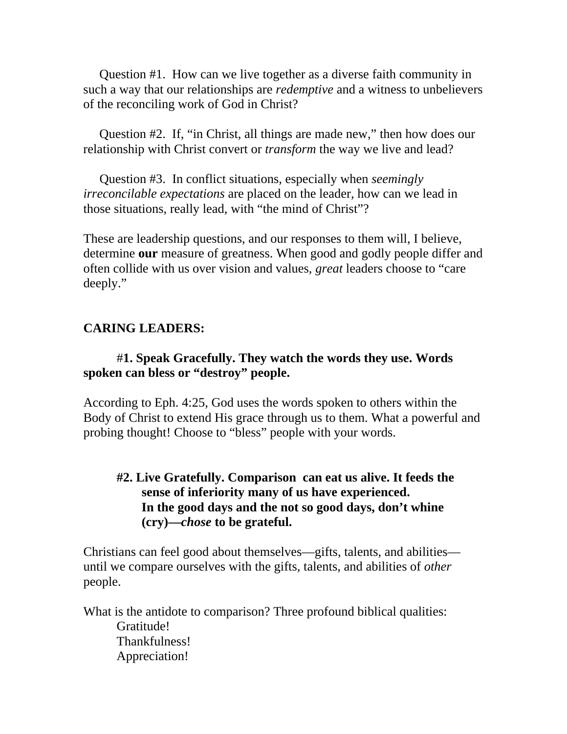Question #1. How can we live together as a diverse faith community in such a way that our relationships are *redemptive* and a witness to unbelievers of the reconciling work of God in Christ?

 Question #2. If, "in Christ, all things are made new," then how does our relationship with Christ convert or *transform* the way we live and lead?

 Question #3. In conflict situations, especially when *seemingly irreconcilable expectations* are placed on the leader, how can we lead in those situations, really lead, with "the mind of Christ"?

These are leadership questions, and our responses to them will, I believe, determine **our** measure of greatness. When good and godly people differ and often collide with us over vision and values, *great* leaders choose to "care deeply."

# **CARING LEADERS:**

#### #**1. Speak Gracefully. They watch the words they use. Words spoken can bless or "destroy" people.**

According to Eph. 4:25, God uses the words spoken to others within the Body of Christ to extend His grace through us to them. What a powerful and probing thought! Choose to "bless" people with your words.

### **#2. Live Gratefully. Comparison can eat us alive. It feeds the sense of inferiority many of us have experienced. In the good days and the not so good days, don't whine (cry)—***chose* **to be grateful.**

Christians can feel good about themselves—gifts, talents, and abilities until we compare ourselves with the gifts, talents, and abilities of *other*  people.

What is the antidote to comparison? Three profound biblical qualities: Gratitude! Thankfulness! Appreciation!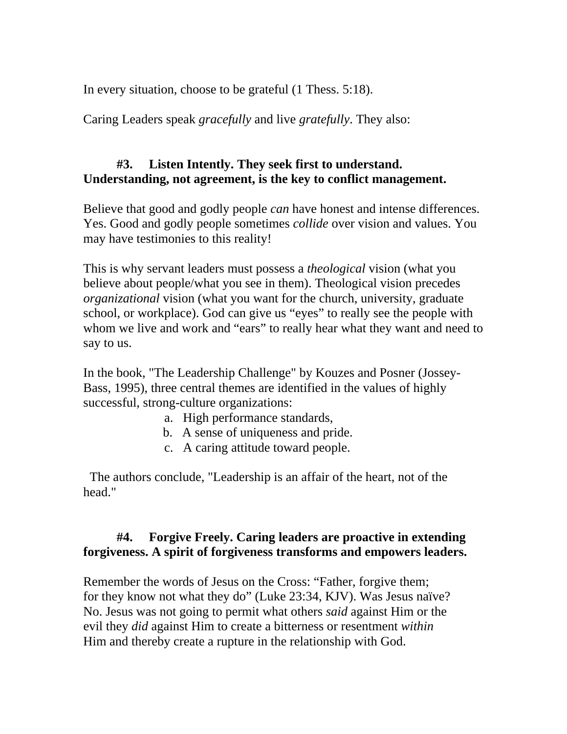In every situation, choose to be grateful (1 Thess. 5:18).

Caring Leaders speak *gracefully* and live *gratefully*. They also:

## **#3. Listen Intently. They seek first to understand. Understanding, not agreement, is the key to conflict management.**

Believe that good and godly people *can* have honest and intense differences. Yes. Good and godly people sometimes *collide* over vision and values. You may have testimonies to this reality!

This is why servant leaders must possess a *theological* vision (what you believe about people/what you see in them). Theological vision precedes *organizational* vision (what you want for the church, university, graduate school, or workplace). God can give us "eyes" to really see the people with whom we live and work and "ears" to really hear what they want and need to say to us.

In the book, "The Leadership Challenge" by Kouzes and Posner (Jossey-Bass, 1995), three central themes are identified in the values of highly successful, strong-culture organizations:

- a. High performance standards,
- b. A sense of uniqueness and pride.
- c. A caring attitude toward people.

 The authors conclude, "Leadership is an affair of the heart, not of the head."

# **#4. Forgive Freely. Caring leaders are proactive in extending forgiveness. A spirit of forgiveness transforms and empowers leaders.**

Remember the words of Jesus on the Cross: "Father, forgive them; for they know not what they do" (Luke 23:34, KJV). Was Jesus naïve? No. Jesus was not going to permit what others *said* against Him or the evil they *did* against Him to create a bitterness or resentment *within*  Him and thereby create a rupture in the relationship with God.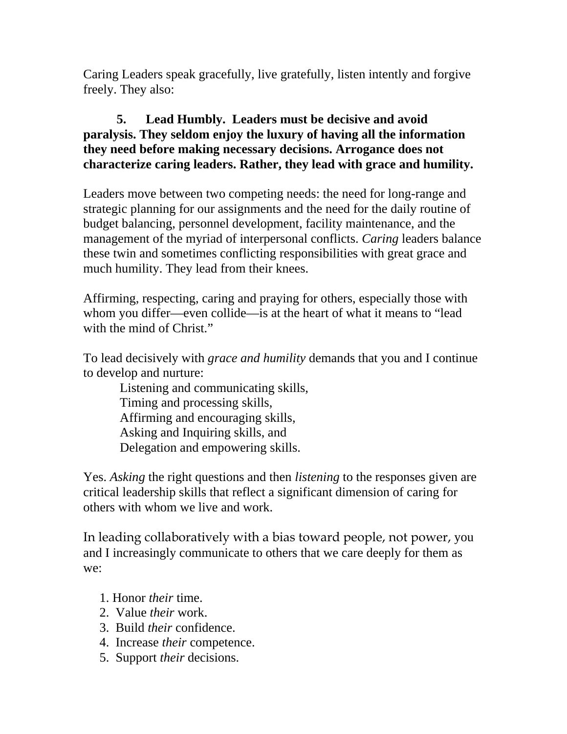Caring Leaders speak gracefully, live gratefully, listen intently and forgive freely. They also:

## **5. Lead Humbly. Leaders must be decisive and avoid paralysis. They seldom enjoy the luxury of having all the information they need before making necessary decisions. Arrogance does not characterize caring leaders. Rather, they lead with grace and humility.**

Leaders move between two competing needs: the need for long-range and strategic planning for our assignments and the need for the daily routine of budget balancing, personnel development, facility maintenance, and the management of the myriad of interpersonal conflicts. *Caring* leaders balance these twin and sometimes conflicting responsibilities with great grace and much humility. They lead from their knees.

Affirming, respecting, caring and praying for others, especially those with whom you differ—even collide—is at the heart of what it means to "lead with the mind of Christ."

To lead decisively with *grace and humility* demands that you and I continue to develop and nurture:

 Listening and communicating skills, Timing and processing skills, Affirming and encouraging skills, Asking and Inquiring skills, and Delegation and empowering skills.

Yes. *Asking* the right questions and then *listening* to the responses given are critical leadership skills that reflect a significant dimension of caring for others with whom we live and work.

In leading collaboratively with a bias toward people, not power, you and I increasingly communicate to others that we care deeply for them as we:

- 1. Honor *their* time.
- 2. Value *their* work.
- 3. Build *their* confidence.
- 4. Increase *their* competence.
- 5. Support *their* decisions.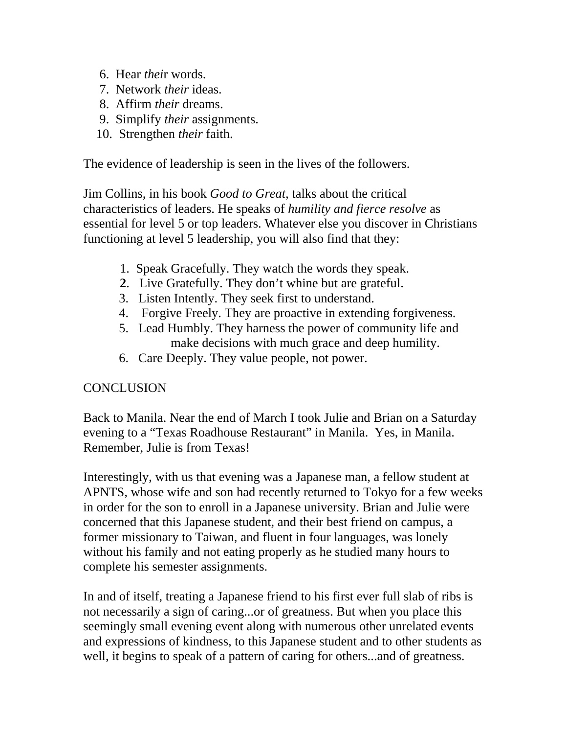- 6. Hear *thei*r words.
- 7. Network *their* ideas.
- 8. Affirm *their* dreams.
- 9. Simplify *their* assignments.
- 10. Strengthen *their* faith.

The evidence of leadership is seen in the lives of the followers.

Jim Collins, in his book *Good to Great,* talks about the critical characteristics of leaders. He speaks of *humility and fierce resolve* as essential for level 5 or top leaders. Whatever else you discover in Christians functioning at level 5 leadership, you will also find that they:

- 1. Speak Gracefully. They watch the words they speak.
- **2**. Live Gratefully. They don't whine but are grateful.
- 3. Listen Intently. They seek first to understand.
- 4. Forgive Freely. They are proactive in extending forgiveness.
- 5. Lead Humbly. They harness the power of community life and make decisions with much grace and deep humility.
- 6. Care Deeply. They value people, not power.

## **CONCLUSION**

Back to Manila. Near the end of March I took Julie and Brian on a Saturday evening to a "Texas Roadhouse Restaurant" in Manila. Yes, in Manila. Remember, Julie is from Texas!

Interestingly, with us that evening was a Japanese man, a fellow student at APNTS, whose wife and son had recently returned to Tokyo for a few weeks in order for the son to enroll in a Japanese university. Brian and Julie were concerned that this Japanese student, and their best friend on campus, a former missionary to Taiwan, and fluent in four languages, was lonely without his family and not eating properly as he studied many hours to complete his semester assignments.

In and of itself, treating a Japanese friend to his first ever full slab of ribs is not necessarily a sign of caring...or of greatness. But when you place this seemingly small evening event along with numerous other unrelated events and expressions of kindness, to this Japanese student and to other students as well, it begins to speak of a pattern of caring for others...and of greatness.